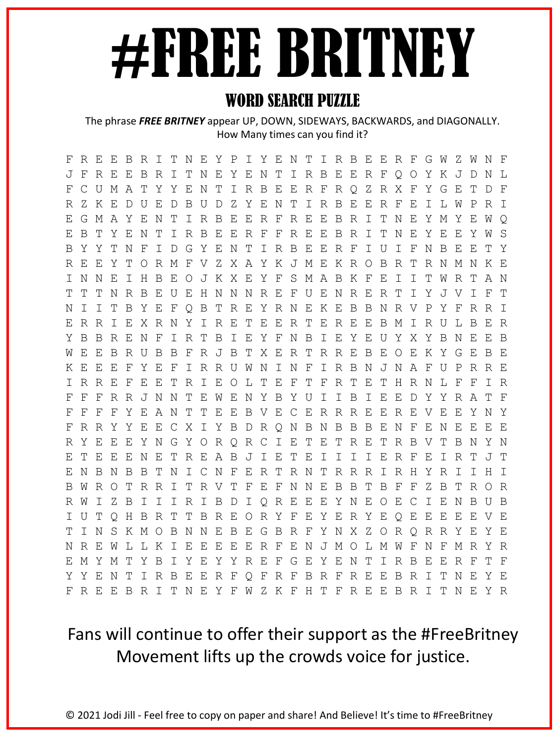# #FREE BRITNEY

#### WORD SEARCH PUZZLE

The phrase *FREE BRITNEY* appear UP, DOWN, SIDEWAYS, BACKWARDS, and DIAGONALLY. How Many times can you find it?

F R E E B R I T N E Y P I Y E N T I R B E E R F G W Z W N F J F R E E B R I T N E Y E N T I R B E E R F Q O Y K J D N L F C U M A T Y Y E N T I R B E E R F R Q Z R X F Y G E T D F R Z K E D U E D B U D Z Y E N T I R B E E R F E I L W P R I E G M A Y E N T I R B E E R F R E E B R I T N E Y M Y E W Q E B T Y E N T I R B E E R F F R E E B R I T N E Y E E Y W S B Y Y T N F I D G Y E N T I R B E E R F I U I F N B E E T Y R E E Y T O R M F V Z X A Y K J M E K R O B R T R N M N K E I N N E I H B E O J K X E Y F S M A B K F E I I T W R T A N T T T N R B E U E H N N N R E F U E N R E R T I Y J V I F T N I I T B Y E F Q B T R E Y R N E K E B B N R V P Y F R R I E R R I E X R N Y I R E T E E R T E R E E B M I R U L B E R Y B B R E N F I R T B I E Y F N B I E Y E U Y X Y B N E E B W E E B R U B B F R J B T X E R T R R E B E O E K Y G E B E K E E E F Y E F I R R U W N I N F I R B N J N A F U P R R E I R R E F E E T R I E O L T E F T F R T E T H R N L F F I R F F F R R J N N T E W E N Y B Y U I I B I E E D Y Y R A T F F F F F Y E A N T T E E B V E C E R R R E E R E V E E Y N Y F R R Y Y E E C X I Y B D R Q N B N B B B E N F E N E E E E R Y E E E Y N G Y O R Q R C I E T E T R E T R B V T B N Y N E T E E E N E T R E A B J I E T E I I I I E R F E I R T J T E N B N B B T N I C N F E R T R N T R R R I R H Y R I I H I B W R O T R R I T R V T F E F N N E B B T B F F Z B T R O R R W I Z B I I I R I B D I Q R E E E Y N E O E C I E N B U B I U T Q H B R T T B R E O R Y F E Y E R Y E Q E E E E E V E T I N S K M O B N N E B E G B R F Y N X Z O R Q R R Y E Y E N R E W L L K I E E E E E R F E N J M O L M W F N F M R Y R E M Y M T Y B I Y E Y Y R E F G E Y E N T I R B E E R F T F Y Y E N T I R B E E R F Q F R F B R F R E E B R I T N E Y E F R E E B R I T N E Y F W Z K F H T F R E E B R I T N E Y R

### Fans will continue to offer their support as the #FreeBritney Movement lifts up the crowds voice for justice.

© 2021 Jodi Jill - Feel free to copy on paper and share! And Believe! It's time to #FreeBritney